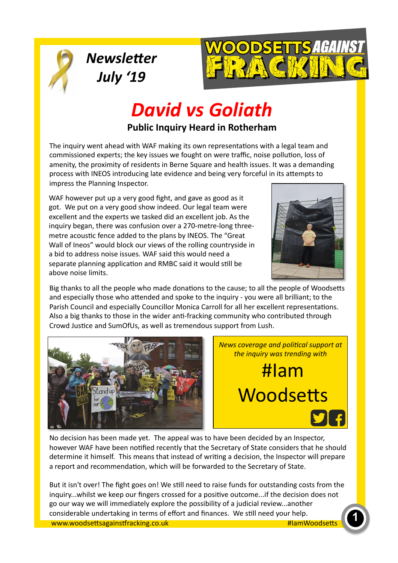

**Newsletter** 

*July '19* 



# **David vs Goliath**

#### **Public Inquiry Heard in Rotherham**

The inquiry went ahead with WAF making its own representations with a legal team and commissioned experts; the key issues we fought on were traffic, noise pollution, loss of amenity, the proximity of residents in Berne Square and health issues. It was a demanding process with INEOS introducing late evidence and being very forceful in its attempts to impress the Planning Inspector.

WAF however put up a very good fight, and gave as good as it got. We put on a very good show indeed. Our legal team were excellent and the experts we tasked did an excellent job. As the inquiry began, there was confusion over a 270-metre-long threemetre acoustic fence added to the plans by INEOS. The "Great Wall of Ineos" would block our views of the rolling countryside in a bid to address noise issues. WAF said this would need a separate planning application and RMBC said it would still be above noise limits.



Big thanks to all the people who made donations to the cause; to all the people of Woodsetts and especially those who attended and spoke to the inquiry - you were all brilliant; to the Parish Council and especially Councillor Monica Carroll for all her excellent representations. Also a big thanks to those in the wider anti-fracking community who contributed through Crowd Justice and SumOfUs, as well as tremendous support from Lush.



*News coverage and political support at the inquiry was trending with* 

#Iam Woodsetts

No decision has been made yet. The appeal was to have been decided by an Inspector, however WAF have been notified recently that the Secretary of State considers that he should determine it himself. This means that instead of writing a decision, the Inspector will prepare a report and recommendation, which will be forwarded to the Secretary of State.

www.woodse'sagains,racking.co.uk **1**  considerable undertaking in terms of effort and finances. We s<ll need your help. #IamWoodsetts But it isn't over! The fight goes on! We still need to raise funds for outstanding costs from the inquiry...whilst we keep our fingers crossed for a positive outcome...if the decision does not go our way we will immediately explore the possibility of a judicial review...another